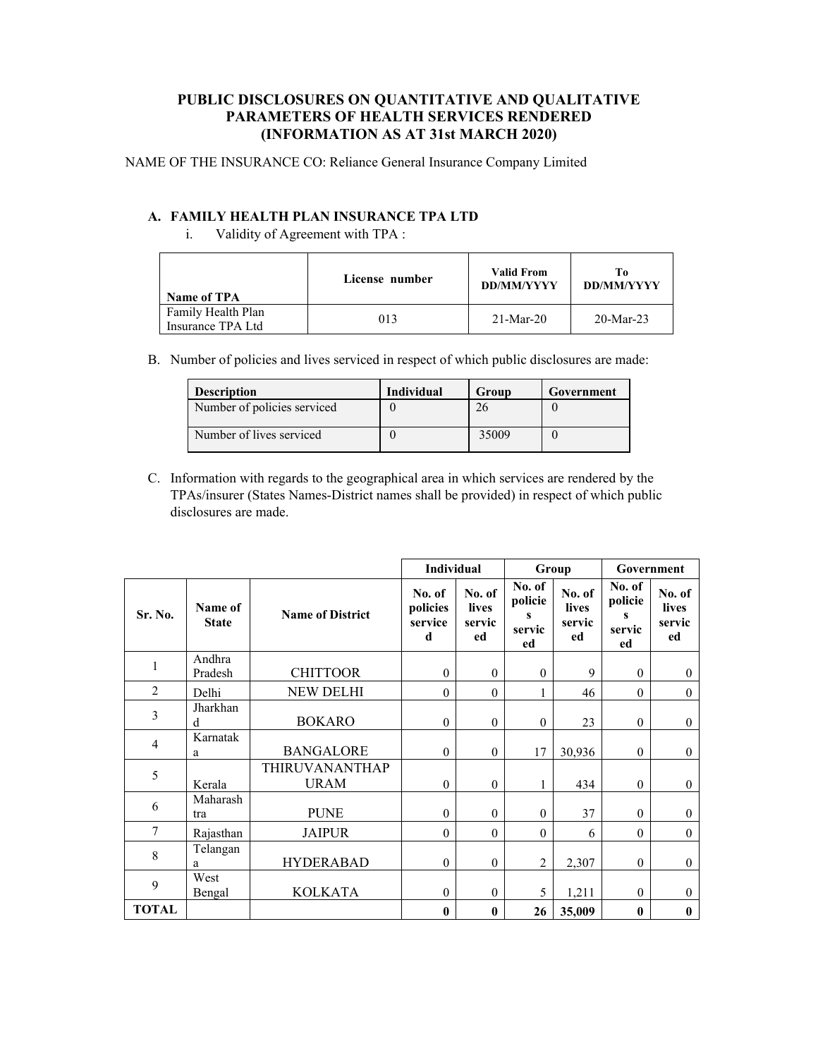## **PUBLIC DISCLOSURES ON QUANTITATIVE AND QUALITATIVE PARAMETERS OF HEALTH SERVICES RENDERED (INFORMATION AS AT 31st MARCH 2020)**

NAME OF THE INSURANCE CO: Reliance General Insurance Company Limited

## **A. FAMILY HEALTH PLAN INSURANCE TPA LTD**

i. Validity of Agreement with TPA :

| Name of TPA                             | License number |             | Ŧο<br><b>DD/MM/YYYY</b> |  |
|-----------------------------------------|----------------|-------------|-------------------------|--|
| Family Health Plan<br>Insurance TPA Ltd | 013            | $21-Mar-20$ | $20-Mar-23$             |  |

B. Number of policies and lives serviced in respect of which public disclosures are made:

| <b>Description</b>          | <b>Individual</b> | Group | Government |
|-----------------------------|-------------------|-------|------------|
| Number of policies serviced |                   |       |            |
| Number of lives serviced    |                   | 35009 |            |

C. Information with regards to the geographical area in which services are rendered by the TPAs/insurer (States Names-District names shall be provided) in respect of which public disclosures are made.

|                |                         |                                      | Individual                         |                                        |                                        | Group                           | Government                             |                                 |
|----------------|-------------------------|--------------------------------------|------------------------------------|----------------------------------------|----------------------------------------|---------------------------------|----------------------------------------|---------------------------------|
| Sr. No.        | Name of<br><b>State</b> | <b>Name of District</b>              | No. of<br>policies<br>service<br>d | No. of<br><b>lives</b><br>servic<br>ed | No. of<br>policie<br>s<br>servic<br>ed | No. of<br>lives<br>servic<br>ed | No. of<br>policie<br>S<br>servic<br>ed | No. of<br>lives<br>servic<br>ed |
| $\mathbf{1}$   | Andhra<br>Pradesh       | <b>CHITTOOR</b>                      | $\mathbf{0}$                       | $\mathbf{0}$                           | $\mathbf{0}$                           | 9                               | $\overline{0}$                         | $\overline{0}$                  |
| $\overline{2}$ | Delhi                   | <b>NEW DELHI</b>                     | $\mathbf{0}$                       | $\mathbf{0}$                           | 1                                      | 46                              | $\overline{0}$                         | $\overline{0}$                  |
| 3              | Jharkhan<br>d           | <b>BOKARO</b>                        | $\mathbf{0}$                       | $\mathbf{0}$                           | $\mathbf{0}$                           | 23                              | $\overline{0}$                         | $\overline{0}$                  |
| $\overline{4}$ | Karnatak<br>a           | <b>BANGALORE</b>                     | $\mathbf{0}$                       | $\mathbf{0}$                           | 17                                     | 30,936                          | $\theta$                               | $\mathbf{0}$                    |
| 5              | Kerala                  | <b>THIRUVANANTHAP</b><br><b>URAM</b> | $\mathbf{0}$                       | $\mathbf{0}$                           | 1                                      | 434                             | $\mathbf{0}$                           | $\mathbf{0}$                    |
| 6              | Maharash<br>tra         | <b>PUNE</b>                          | $\mathbf{0}$                       | $\mathbf{0}$                           | $\Omega$                               | 37                              | $\theta$                               | $\mathbf{0}$                    |
| 7              | Rajasthan               | <b>JAIPUR</b>                        | $\mathbf{0}$                       | $\mathbf{0}$                           | $\theta$                               | 6                               | $\theta$                               | $\overline{0}$                  |
| 8              | Telangan<br>a           | <b>HYDERABAD</b>                     | $\mathbf{0}$                       | $\mathbf{0}$                           | $\overline{2}$                         | 2,307                           | $\mathbf{0}$                           | $\overline{0}$                  |
| 9              | West<br>Bengal          | <b>KOLKATA</b>                       | $\mathbf{0}$                       | $\mathbf{0}$                           | 5                                      | 1,211                           | $\Omega$                               | $\mathbf{0}$                    |
| <b>TOTAL</b>   |                         |                                      | $\bf{0}$                           | $\bf{0}$                               | 26                                     | 35,009                          | $\bf{0}$                               | $\bf{0}$                        |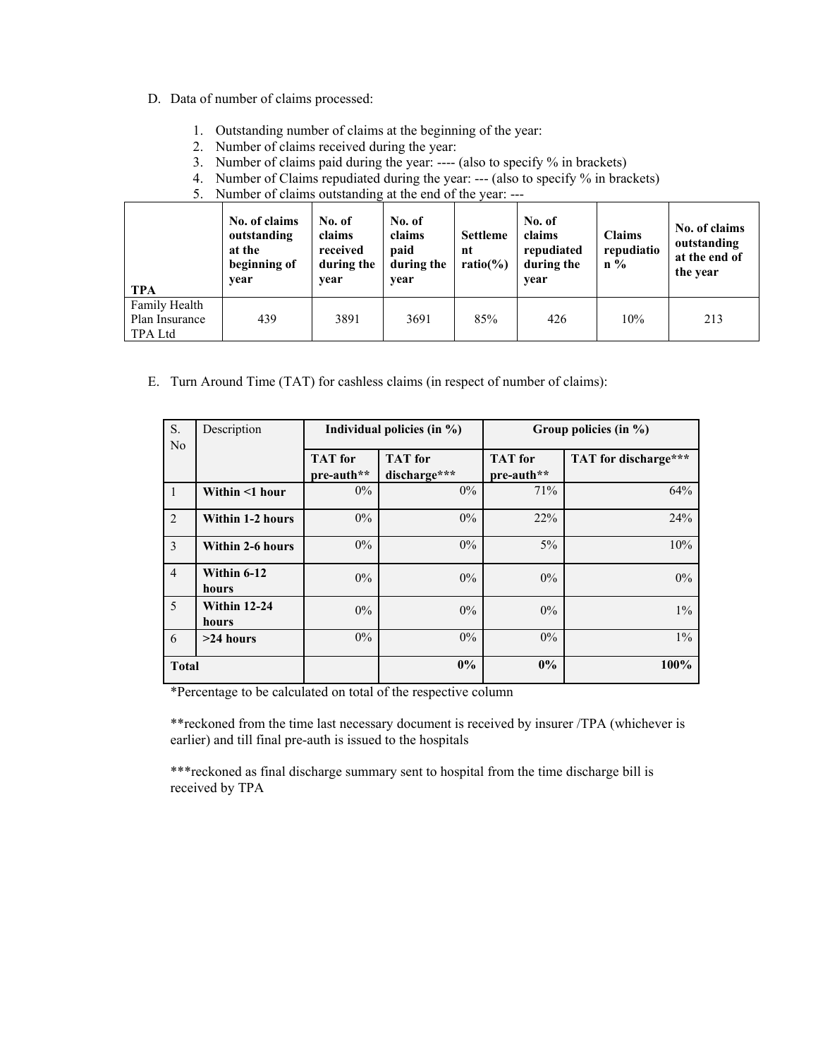## D. Data of number of claims processed:

- 1. Outstanding number of claims at the beginning of the year:
- 2. Number of claims received during the year:
- 3. Number of claims paid during the year: ---- (also to specify % in brackets)
- 4. Number of Claims repudiated during the year: --- (also to specify % in brackets)
- 5. Number of claims outstanding at the end of the year: ---

| TPA                                        | No. of claims<br>outstanding<br>at the<br>beginning of<br>vear | No. of<br>claims<br>received<br>during the<br>vear | No. of<br>claims<br>paid<br>during the<br>year | <b>Settleme</b><br>nt<br>ratio $(\% )$ | No. of<br>claims<br>repudiated<br>during the<br>year | <b>Claims</b><br>repudiatio<br>$\mathbf{n} \%$ | No. of claims<br>outstanding<br>at the end of<br>the year |
|--------------------------------------------|----------------------------------------------------------------|----------------------------------------------------|------------------------------------------------|----------------------------------------|------------------------------------------------------|------------------------------------------------|-----------------------------------------------------------|
| Family Health<br>Plan Insurance<br>TPA Ltd | 439                                                            | 3891                                               | 3691                                           | 85%                                    | 426                                                  | 10%                                            | 213                                                       |

E. Turn Around Time (TAT) for cashless claims (in respect of number of claims):

| S.             | Description                  |                              | Individual policies (in $\%$ ) | Group policies (in %)        |                      |  |  |
|----------------|------------------------------|------------------------------|--------------------------------|------------------------------|----------------------|--|--|
| N <sub>o</sub> |                              | <b>TAT</b> for<br>pre-auth** | <b>TAT</b> for<br>discharge*** | <b>TAT</b> for<br>pre-auth** | TAT for discharge*** |  |  |
| $\mathbf{1}$   | Within <1 hour               | $0\%$                        | $0\%$                          | 71%                          | 64%                  |  |  |
| 2              | Within 1-2 hours             | $0\%$                        | 0%                             | 22%                          | 24%                  |  |  |
| 3              | Within 2-6 hours             | $0\%$                        | $0\%$                          | $5\%$                        | 10%                  |  |  |
| $\overline{4}$ | Within 6-12<br>hours         | $0\%$                        | $0\%$                          | $0\%$                        | $0\%$                |  |  |
| 5              | <b>Within 12-24</b><br>hours | $0\%$                        | $0\%$                          | $0\%$                        | $1\%$                |  |  |
| 6              | $>24$ hours                  | $0\%$                        | $0\%$                          | $0\%$                        | $1\%$                |  |  |
| <b>Total</b>   |                              |                              | 0%                             | $0\%$                        | 100%                 |  |  |

\*Percentage to be calculated on total of the respective column

\*\*reckoned from the time last necessary document is received by insurer /TPA (whichever is earlier) and till final pre-auth is issued to the hospitals

\*\*\*reckoned as final discharge summary sent to hospital from the time discharge bill is received by TPA